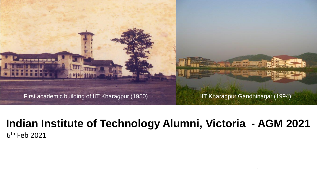First academic building of IIT Kharagpur (1950) **IIT Kharagpur Gandhinagar (1994)** 

er er de

1

#### **Indian Institute of Technology Alumni, Victoria - AGM 2021** 6 th Feb 2021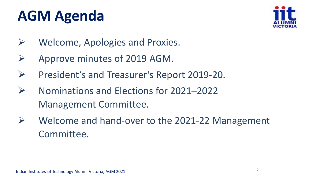## **AGM Agenda**



- ➢ Welcome, Apologies and Proxies.
- ➢ Approve minutes of 2019 AGM.
- ➢ President's and Treasurer's Report 2019-20.
- ➢ Nominations and Elections for 2021–2022 Management Committee.
- $\triangleright$  Welcome and hand-over to the 2021-22 Management Committee.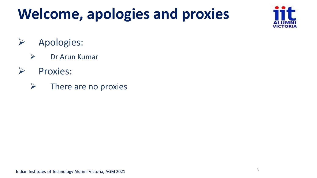## **Welcome, apologies and proxies**



- ➢ Apologies:
	- ➢ Dr Arun Kumar
- ➢ Proxies:
	- $\triangleright$  There are no proxies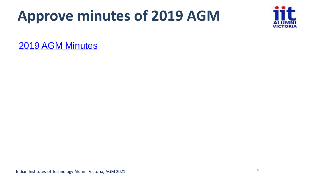## **Approve minutes of 2019 AGM**



[2019 AGM Minutes](IITaV_AGM_2019_MoM.pdf)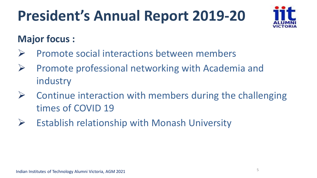

#### **Major focus :**

- ➢ Promote social interactions between members
- ➢ Promote professional networking with Academia and industry
- $\triangleright$  Continue interaction with members during the challenging times of COVID 19
- $\triangleright$  Establish relationship with Monash University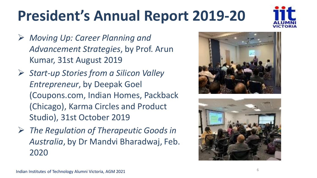

- ➢ *Moving Up: Career Planning and Advancement Strategies*, by Prof. Arun Kumar, 31st August 2019
- ➢ *Start-up Stories from a Silicon Valley Entrepreneur*, by Deepak Goel (Coupons.com, Indian Homes, Packback (Chicago), Karma Circles and Product Studio), 31st October 2019
- ➢ *The Regulation of Therapeutic Goods in Australia*, by Dr Mandvi Bharadwaj, Feb. 2020



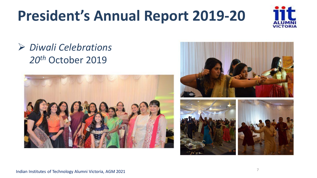

### ➢ *Diwali Celebrations 20th* October 2019





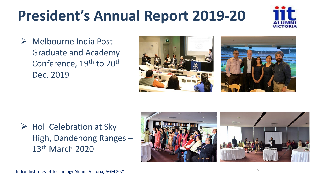

➢ Melbourne India Post Graduate and Academy Conference, 19<sup>th</sup> to 20<sup>th</sup> Dec. 2019





#### ➢ Holi Celebration at Sky High, Dandenong Ranges – 13th March 2020

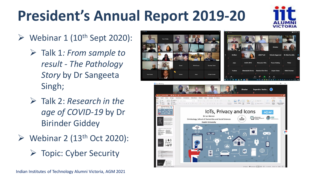

- $\triangleright$  Webinar 1 (10<sup>th</sup> Sept 2020):
	- ➢ Talk 1*: From sample to result - The Pathology Story* by Dr Sangeeta Singh;
	- ➢ Talk 2: *Research in the age of COVID-19* by Dr Birinder Giddey
- $\triangleright$  Webinar 2 (13<sup>th</sup> Oct 2020):

➢ Topic: Cyber Security

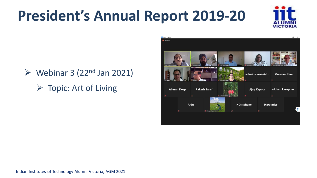

- $\triangleright$  Webinar 3 (22<sup>nd</sup> Jan 2021)
	- $\triangleright$  Topic: Art of Living

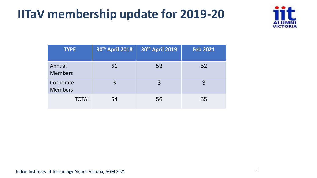### **IITaV membership update for 2019-20**



| <b>TYPE</b>                 | 30th April 2018 | 30th April 2019 | <b>Feb 2021</b> |
|-----------------------------|-----------------|-----------------|-----------------|
| Annual<br><b>Members</b>    | 51              | 53              | 52              |
| Corporate<br><b>Members</b> | 3               | 3               | 3               |
| <b>TOTAL</b>                | 54              | 56              | 55              |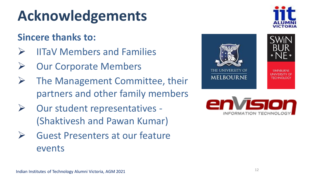## **Acknowledgements**

### **Sincere thanks to:**

- ➢ IITaV Members and Families
- **Our Corporate Members**
- $\triangleright$  The Management Committee, their partners and other family members
- ➢ Our student representatives (Shaktivesh and Pawan Kumar)
- ➢ Guest Presenters at our feature events





**MELBOURNE** 

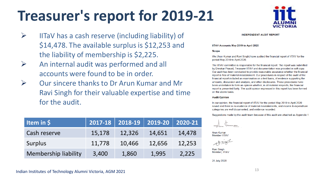## **Treasurer's report for 2019-21**

- $\triangleright$  IITaV has a cash reserve (including liability) of \$14,478. The available surplus is \$12,253 and the liability of membership is \$2,225.
- ➢ An internal audit was performed and all accounts were found to be in order.
- ➢ Our sincere thanks to Dr Arun Kumar and Mr Ravi Singh for their valuable expertise and time for the audit.

| Item in \$                  |        | $2017 - 18$ 2018-19 2019-20 |        | $2020 - 21$ |
|-----------------------------|--------|-----------------------------|--------|-------------|
| Cash reserve                | 15,178 | 12,326                      | 14,651 | 14,478      |
| Surplus                     | 11,778 | 10,466                      | 12,656 | 12,253      |
| <b>Membership liability</b> | 3,400  | 1,860                       | 1,995  | 2,225       |



**INDEPENDENT AUDIT REPORT** 

#### IITAV Accounts May 2019 to April 2020

#### **Scope**

We (Arun Kumar and Ravi Singh) have audited the financial report of IITAV for the period May 2019 to April 2020.

The IITAV committee is responsible for the financial report. The report was submitted by Diwakar Prasad, Treasurer IITAV and documentation was provided in soft copy. Our audit has been conducted to provide reasonable assurance whether the financial report is free of material misstatement. Our procedures in respect of the audit of the financial report included an examination on a test basis, of evidence supporting the amounts, discussion and analysis, and other disclosures. These procedures have been undertaken to form an opinion whether, in all material respects, the financial report is presented fairly. The audit opinion expressed in this report has been formed on the above basis.

#### **Audit Opinion**

In our opinion, the financial report of IITAV for the period May 2019 to April 2020 sound and there is no evidence of material misstatements, and income & expenditure categories are well documented, and evidence recorded.

Suggestions made by the audit team because of this audit are attached as Appendix 1

**Arun Kumar Member IITAV** 

**Ravi Singh** Member, IITAV

28 July 2020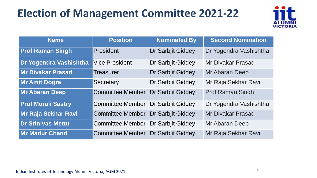### **Election of Management Committee 2021-22**



| <b>Name</b>               | <b>Position</b>         | <b>Nominated By</b>      | <b>Second Nomination</b> |
|---------------------------|-------------------------|--------------------------|--------------------------|
| <b>Prof Raman Singh</b>   | President               | Dr Sarbjit Giddey        | Dr Yogendra Vashishtha   |
| Dr Yogendra Vashishtha    | <b>Vice President</b>   | Dr Sarbjit Giddey        | Mr Divakar Prasad        |
| <b>Mr Divakar Prasad</b>  | <b>Treasurer</b>        | Dr Sarbjit Giddey        | Mr Abaran Deep           |
| <b>Mr Amit Dogra</b>      | <b>Secretary</b>        | Dr Sarbjit Giddey        | Mr Raja Sekhar Ravi      |
| <b>Mr Abaran Deep</b>     | <b>Committee Member</b> | <b>Dr Sarbjit Giddey</b> | <b>Prof Raman Singh</b>  |
| <b>Prof Murali Sastry</b> | <b>Committee Member</b> | Dr Sarbjit Giddey        | Dr Yogendra Vashishtha   |
| Mr Raja Sekhar Ravi       | <b>Committee Member</b> | <b>Dr Sarbjit Giddey</b> | <b>Mr Divakar Prasad</b> |
| <b>Dr Srinivas Mettu</b>  | <b>Committee Member</b> | Dr Sarbjit Giddey        | Mr Abaran Deep           |
| Mr Madur Chand            | <b>Committee Member</b> | <b>Dr Sarbjit Giddey</b> | Mr Raja Sekhar Ravi      |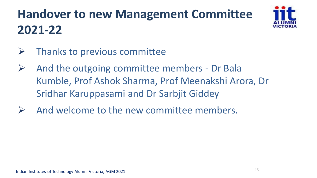## **Handover to new Management Committee 2021-22**



- $\triangleright$  Thanks to previous committee
- $\triangleright$  And the outgoing committee members Dr Bala Kumble, Prof Ashok Sharma, Prof Meenakshi Arora, Dr Sridhar Karuppasami and Dr Sarbjit Giddey
- And welcome to the new committee members.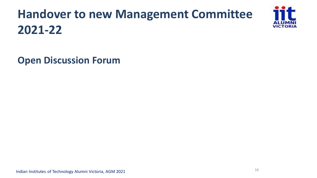## **Handover to new Management Committee 2021-22**

**Open Discussion Forum**